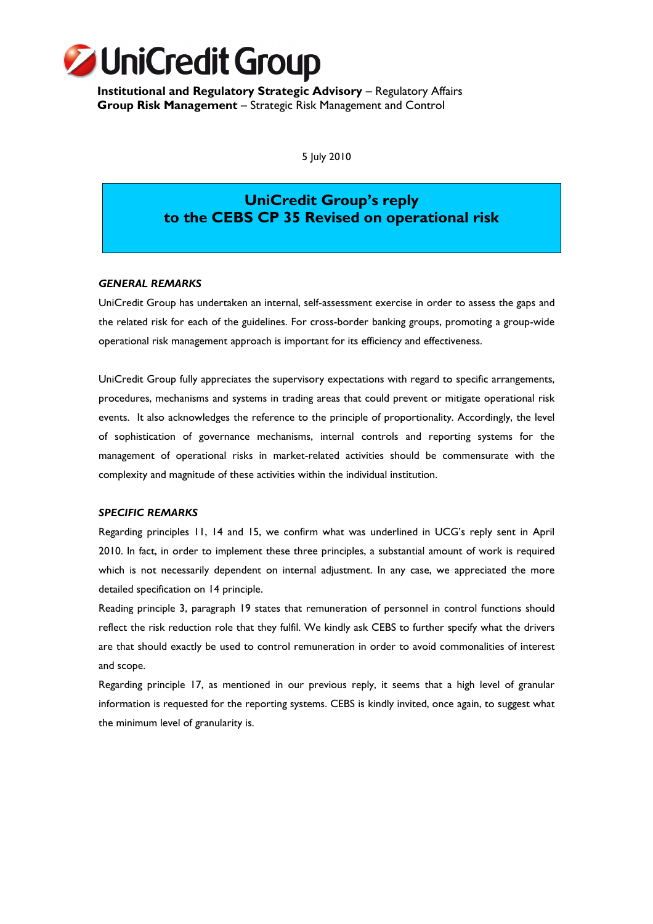

**Institutional and Regulatory Strategic Advisory** – Regulatory Affairs **Group Risk Management** – Strategic Risk Management and Control

5 July 2010

# **UniCredit Group's reply to the CEBS CP 35 Revised on operational risk**

### *GENERAL REMARKS*

UniCredit Group has undertaken an internal, self-assessment exercise in order to assess the gaps and the related risk for each of the guidelines. For cross-border banking groups, promoting a group-wide operational risk management approach is important for its efficiency and effectiveness.

UniCredit Group fully appreciates the supervisory expectations with regard to specific arrangements, procedures, mechanisms and systems in trading areas that could prevent or mitigate operational risk events. It also acknowledges the reference to the principle of proportionality. Accordingly, the level of sophistication of governance mechanisms, internal controls and reporting systems for the management of operational risks in market-related activities should be commensurate with the complexity and magnitude of these activities within the individual institution.

### *SPECIFIC REMARKS*

Regarding principles 11, 14 and 15, we confirm what was underlined in UCG's reply sent in April 2010. In fact, in order to implement these three principles, a substantial amount of work is required which is not necessarily dependent on internal adjustment. In any case, we appreciated the more detailed specification on 14 principle.

Reading principle 3, paragraph 19 states that remuneration of personnel in control functions should reflect the risk reduction role that they fulfil. We kindly ask CEBS to further specify what the drivers are that should exactly be used to control remuneration in order to avoid commonalities of interest and scope.

Regarding principle 17, as mentioned in our previous reply, it seems that a high level of granular information is requested for the reporting systems. CEBS is kindly invited, once again, to suggest what the minimum level of granularity is.